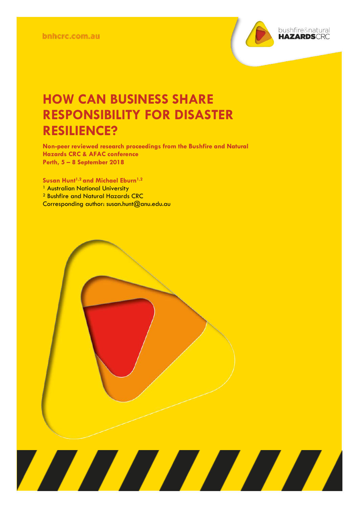

## **HOW CAN BUSINESS SHARE RESPONSIBILITY FOR DISASTER RESILIENCE?**

**Non-peer reviewed research proceedings from the Bushfire and Natural Hazards CRC & AFAC conference Perth, 5 – 8 September 2018**

<u> Alian Alian Karena dago dago da karena dago da karena dago da karena dago da karena da karena da karena da k</u>

**Susan Hunt1,2 and Michael Eburn1,2**

<sup>1</sup> Australian National University

<sup>2</sup> Bushfire and Natural Hazards CRC

Corresponding author: susan.hunt@anu.edu.au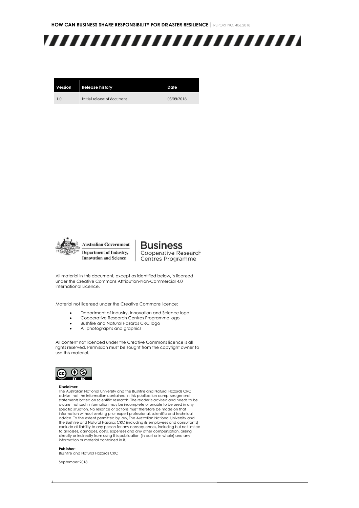**HOW CAN BUSINESS SHARE RESPONSIBILITY FOR DISASTER RESILIENCE|** REPORT NO. 406.2018



| Version | <b>Release history</b>      | Date       |
|---------|-----------------------------|------------|
| 1.0     | Initial release of document | 05/09/2018 |



**Business** Cooperative Research Centres Programme

All material in this document, except as identified below, is licensed under the Creative Commons Attribution-Non-Commercial 4.0 International Licence.

Material not licensed under the Creative Commons licence:

- Department of Industry, Innovation and Science logo
- Cooperative Research Centres Programme logo
- Bushfire and Natural Hazards CRC logo<br>• All photographs and graphics
- All photographs and graphics

All content not licenced under the Creative Commons licence is all rights reserved. Permission must be sought from the copyright owner to use this material.



#### **Disclaimer:**

The Australian National University and the Bushfire and Natural Hazards CRC advise that the information contained in this publication comprises general statements based on scientific research. The reader is advised and needs to be aware that such information may be incomplete or unable to be used in any specific situation. No reliance or actions must therefore be made on that information without seeking prior expert professional, scientific and technical advice. To the extent permitted by law, The Australian National University and the Bushfire and Natural Hazards CRC (including its employees and consultants) exclude all liability to any person for any consequences, including but not limited to all losses, damages, costs, expenses and any other compensation, arising directly or indirectly from using this publication (in part or in whole) and any information or material contained in it.

**Publisher:** Bushfire and Natural Hazards CRC

September 2018

1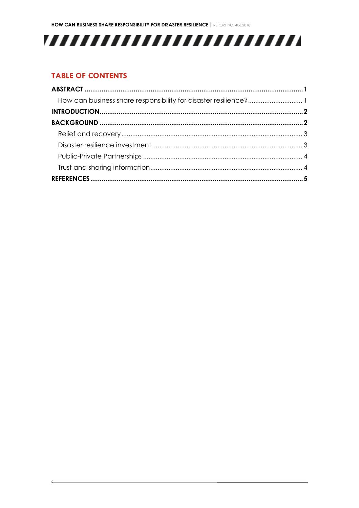# 

#### **TABLE OF CONTENTS**

 $\Omega$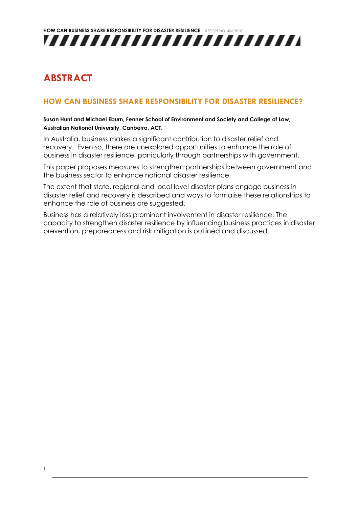### <span id="page-3-0"></span>**ABSTRACT**

1

#### <span id="page-3-1"></span>**HOW CAN BUSINESS SHARE RESPONSIBILITY FOR DISASTER RESILIENCE?**

#### **Susan Hunt and Michael Eburn, Fenner School of Environment and Society and College of Law, Australian National University, Canberra, ACT.**

In Australia, business makes a significant contribution to disaster relief and recovery. Even so, there are unexplored opportunities to enhance the role of business in disaster resilience, particularly through partnerships with government.

This paper proposes measures to strengthen partnerships between government and the business sector to enhance national disaster resilience.

The extent that state, regional and local level disaster plans engage business in disaster relief and recovery is described and ways to formalise these relationships to enhance the role of business are suggested.

Business has a relatively less prominent involvement in disaster resilience. The capacity to strengthen disaster resilience by influencing business practices in disaster prevention, preparedness and risk mitigation is outlined and discussed.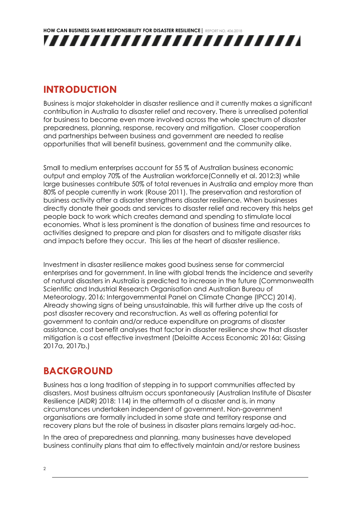### <span id="page-4-0"></span>**INTRODUCTION**

Business is major stakeholder in disaster resilience and it currently makes a significant contribution in Australia to disaster relief and recovery. There is unrealised potential for business to become even more involved across the whole spectrum of disaster preparedness, planning, response, recovery and mitigation. Closer cooperation and partnerships between business and government are needed to realise opportunities that will benefit business, government and the community alike.

Small to medium enterprises account for 55 % of Australian business economic output and employ 70% of the Australian workforce(Connelly et al. 2012:3) while large businesses contribute 50% of total revenues in Australia and employ more than 80% of people currently in work (Rouse 2011). The preservation and restoration of business activity after a disaster strengthens disaster resilience. When businesses directly donate their goods and services to disaster relief and recovery this helps get people back to work which creates demand and spending to stimulate local economies. What is less prominent is the donation of business time and resources to activities designed to prepare and plan for disasters and to mitigate disaster risks and impacts before they occur. This lies at the heart of disaster resilience.

Investment in disaster resilience makes good business sense for commercial enterprises and for government. In line with global trends the incidence and severity of natural disasters in Australia is predicted to increase in the future (Commonwealth Scientific and Industrial Research Organisation and Australian Bureau of Meteorology, 2016; Intergovernmental Panel on Climate Change (IPCC) 2014). Already showing signs of being unsustainable, this will further drive up the costs of post disaster recovery and reconstruction. As well as offering potential for government to contain and/or reduce expenditure on programs of disaster assistance, cost benefit analyses that factor in disaster resilience show that disaster mitigation is a cost effective investment (Deloitte Access Economic 2016a; Gissing 2017a, 2017b.)

### <span id="page-4-1"></span>**BACKGROUND**

Business has a long tradition of stepping in to support communities affected by disasters. Most business altruism occurs spontaneously (Australian Institute of Disaster Resilience (AIDR) 2018: 114) in the aftermath of a disaster and is, in many circumstances undertaken independent of government. Non-government organisations are formally included in some state and territory response and recovery plans but the role of business in disaster plans remains largely ad-hoc.

In the area of preparedness and planning, many businesses have developed business continuity plans that aim to effectively maintain and/or restore business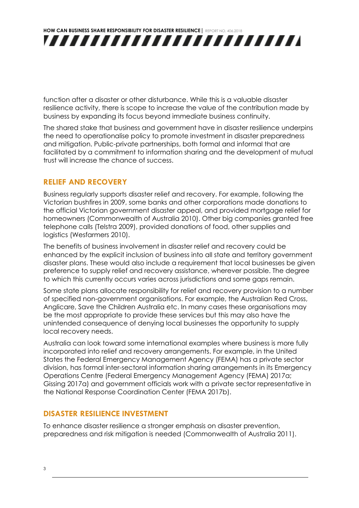function after a disaster or other disturbance. While this is a valuable disaster resilience activity, there is scope to increase the value of the contribution made by business by expanding its focus beyond immediate business continuity.

The shared stake that business and government have in disaster resilience underpins the need to operationalise policy to promote investment in disaster preparedness and mitigation. Public-private partnerships, both formal and informal that are facilitated by a commitment to information sharing and the development of mutual trust will increase the chance of success.

#### <span id="page-5-0"></span>**RELIEF AND RECOVERY**

Business regularly supports disaster relief and recovery. For example, following the Victorian bushfires in 2009, some banks and other corporations made donations to the official Victorian government disaster appeal, and provided mortgage relief for homeowners (Commonwealth of Australia 2010). Other big companies granted free telephone calls (Telstra 2009), provided donations of food, other supplies and logistics (Wesfarmers 2010).

The benefits of business involvement in disaster relief and recovery could be enhanced by the explicit inclusion of business into all state and territory government disaster plans. These would also include a requirement that local businesses be given preference to supply relief and recovery assistance, wherever possible. The degree to which this currently occurs varies across jurisdictions and some gaps remain.

Some state plans allocate responsibility for relief and recovery provision to a number of specified non-government organisations. For example, the Australian Red Cross, Anglicare, Save the Children Australia etc. In many cases these organisations may be the most appropriate to provide these services but this may also have the unintended consequence of denying local businesses the opportunity to supply local recovery needs.

Australia can look toward some international examples where business is more fully incorporated into relief and recovery arrangements. For example, in the United States the Federal Emergency Management Agency (FEMA) has a private sector division, has formal inter-sectoral information sharing arrangements in its Emergency Operations Centre (Federal Emergency Management Agency (FEMA) 2017a; Gissing 2017a) and government officials work with a private sector representative in the National Response Coordination Center (FEMA 2017b).

#### <span id="page-5-1"></span>**DISASTER RESILIENCE INVESTMENT**

To enhance disaster resilience a stronger emphasis on disaster prevention, preparedness and risk mitigation is needed (Commonwealth of Australia 2011).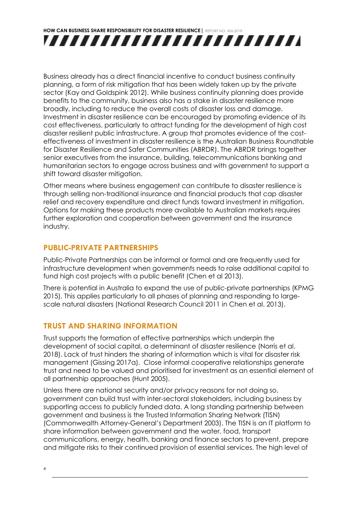Business already has a direct financial incentive to conduct business continuity planning, a form of risk mitigation that has been widely taken up by the private sector (Kay and Goldspink 2012). While business continuity planning does provide benefits to the community, business also has a stake in disaster resilience more broadly, including to reduce the overall costs of disaster loss and damage. Investment in disaster resilience can be encouraged by promoting evidence of its cost effectiveness, particularly to attract funding for the development of high cost disaster resilient public infrastructure. A group that promotes evidence of the costeffectiveness of investment in disaster resilience is the Australian Business Roundtable for Disaster Resilience and Safer Communities (ABRDR). The ABRDR brings together senior executives from the insurance, building, telecommunications banking and humanitarian sectors to engage across business and with government to support a shift toward disaster mitigation.

Other means where business engagement can contribute to disaster resilience is through selling non-traditional insurance and financial products that cap disaster relief and recovery expenditure and direct funds toward investment in mitigation. Options for making these products more available to Australian markets requires further exploration and cooperation between government and the insurance industry.

#### <span id="page-6-0"></span>**PUBLIC-PRIVATE PARTNERSHIPS**

Public-Private Partnerships can be informal or formal and are frequently used for infrastructure development when governments needs to raise additional capital to fund high cost projects with a public benefit (Chen et al 2013).

There is potential in Australia to expand the use of public-private partnerships (KPMG 2015). This applies particularly to all phases of planning and responding to largescale natural disasters (National Research Council 2011 in Chen et al. 2013).

#### <span id="page-6-1"></span>**TRUST AND SHARING INFORMATION**

Trust supports the formation of effective partnerships which underpin the development of social capital, a determinant of disaster resilience (Norris et al. 2018). Lack of trust hinders the sharing of information which is vital for disaster risk management (Gissing 2017a). Close informal cooperative relationships generate trust and need to be valued and prioritised for investment as an essential element of all partnership approaches (Hunt 2005).

Unless there are national security and/or privacy reasons for not doing so, government can build trust with inter-sectoral stakeholders, including business by supporting access to publicly funded data. A long standing partnership between government and business is the Trusted Information Sharing Network (TISN) (Commonwealth Attorney-General's Department 2003). The TISN is an IT platform to share information between government and the water, food, transport communications, energy, health, banking and finance sectors to prevent, prepare and mitigate risks to their continued provision of essential services. The high level of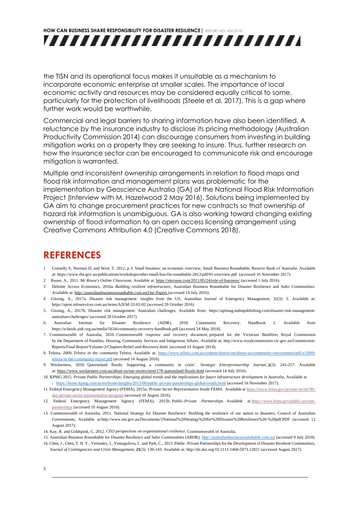the TISN and its operational focus makes it unsuitable as a mechanism to incorporate economic enterprise at smaller scales. The importance of local economic activity and resources may be considered equally critical to some, particularly for the protection of livelihoods (Steele et al. 2017). This is a gap where further work would be worthwhile.

Commercial and legal barriers to sharing information have also been identified. A reluctance by the insurance industry to disclose its pricing methodology (Australian Productivity Commission 2014) can discourage consumers from investing in building mitigation works on a property they are seeking to insure. Thus, further research on how the insurance sector can be encouraged to communicate risk and encourage mitigation is warranted.

Multiple and inconsistent ownership arrangements in relation to flood maps and flood risk information and management plans was problematic for the implementation by Geoscience Australia (GA) of the National Flood Risk Information Project (Interview with M. Hazelwood 2 May 2016). Solutions being implemented by GA aim to change procurement practices for new contracts so that ownership of hazard risk information is unambiguous. GA is also working toward changing existing ownership of flood information to an open access licensing arrangement using Creative Commons Attribution 4.0 (Creative Commons 2018).

#### <span id="page-7-0"></span>**REFERENCES**

- 1 Connelly E, Norman D, and West, T. 2012, p 3. Small business: an economic overview, Small Business Roundtable, Reserve Bank of Australia. Available at[: https://www.rba.gov.au/publications/workshops/other/small-bus-fin-roundtable-2012/pdf/01-overview.pdf](https://www.rba.gov.au/publications/workshops/other/small-bus-fin-roundtable-2012/pdf/01-overview.pdf) (accessed 16 November 2017).
- 2 Rouse, A., 2011. *Mr Rouse's Online Classroom,* Available at: <https://mrrouse.com/2011/05/24/role-of-business/> (accessed 1 July 2016).
- 3 Deloitte Access Economics, 2016a. *Building resilient infrastructure*, Australian Business Roundtable for Disaster Resilience and Safer Communities. Available at: <http://australianbusinessroundtable.com.au/Our-Papers> (accessed 14 July 2016).
- 4 Gissing, A., 2017a. Disaster risk management: insights from the US, Australian Journal of Emergency Management, 32(3): 5. Available at: <https://ajem.infoservices.com.au/items/AJEM-32-03-02> (accessed 20 October 2016)
- 5. Gissing, A., 2017b. Disaster risk management: Australian challenges, Available from: [https://apfmag.mdmpublishing.com/disaster-risk-management](https://apfmag.mdmpublishing.com/disaster-risk-management-australian-challenges/)[australian-challenges/](https://apfmag.mdmpublishing.com/disaster-risk-management-australian-challenges/) (accessed 20 October 2017)
- 6. Australian Institute for Disaster Resilience (AIDR). 2018. Community Recovery: Handbook 2. Available from <https://schools.aidr.org.au/media/5634/community-recovery-handbook.pdf> [accessed 24 May 2018].
- 7. Commonwealth of Australia, 2010. *Commonwealth response and recovery document,* prepared for the Victorian Bushfires Royal Commission by the Department of Families, Housing, Community Services and Indigenous Affairs. Available at: http://www.royalcommission.vic.gov.au/Commission-Reports/Final-Report/Volume-2/Chapters/Relief-and-Recovery.html. (accessed 14 August 2014).
- 8. Telstra, 2009. *Telstra in the community* Telstra. Available at: [https://www.telstra.com.au/content/dam/tcom/about-us/community-environment/pdf-e/2009](https://www.telstra.com.au/content/dam/tcom/about-us/community-environment/pdf-e/2009-telstra-in-the-community-report.pdf) [telstra-in-the-community-report.pdf](https://www.telstra.com.au/content/dam/tcom/about-us/community-environment/pdf-e/2009-telstra-in-the-community-report.pdf) (accessed 14 August 2016).
- 9. Wesfarmers, 2010. 'Queensland floods: Supporting a community in crisis'. *Strategic Entrepreneurship Journal,* **2**(3): 243-257. Available at: [https://www.wesfarmers.com.au/about-us/our-stories/item/178-queensland-floods.html](https://mc.manuscriptcentral.com/LongRequest/austjpa?DOWNLOAD=TRUE&PARAMS=xik_bBe9JirZAvDxw65vWi8mXKbx5jsEEjrs9SksDiUN6uYKWQjaDaQ94zD7gRtEKXHhbs247TsBE1fxE6YBo5zLDhmLQXPZ72qnQehXbm89Ai75xr2CGJPdpFkAtYbvrnrXqLF45R6wesWb9CFHmHtmxxV6K1VEvCKDw6WPf6kER7j7nfKNgyQGsSmfHMG3Fbx6dj4PCjscjZSYTBwgVY6PtH5xh82euwn6VmEf2rVp9VdfZXcmE2JzZSKFSth8MVcyaF3s8T7Pk4eqV7AYrqbXmnVWcF7b) (accessed 14 July 2016).
- 10. KPMG 2015. *Private Public Partnerships: Emerging global trends and the implications for future infrastructure development in Australia*, Available at : <https://home.kpmg.com/au/en/home/insights/2015/06/public-private-partnerships-global-trends.html> (accessed 16 November 2017).
- 11. Federal Emergency Management Agency (FEMA), 2015a. *Private Sector Representative Inside FEMA*. Available at [https://www.fema.gov/private-sector/90](https://www.fema.gov/private-sector/90-day-private-sector-representative-program) [day-private-sector-representative-program](https://www.fema.gov/private-sector/90-day-private-sector-representative-program) (accessed 10 August 2016).
- 12. Federal Emergency Management Agency (FEMA), 2015b. *Public-Private Partnerships*. Available at [https://www.fema.gov/public-private](https://www.fema.gov/public-private-partnerships)[partnerships](https://www.fema.gov/public-private-partnerships) (accessed 10 August 2016).
- 13. Commonwealth of Australia, 2011. National Strategy for Disaster Resilience: Building the resilience of our nation to disasters, Council of Australian Governments, Available a[t:http://www.em.gov.au/Documents/1National%20Strategy%20for%20Disaster%20Resilience%20-%20pdf.PDF](http://www.em.gov.au/Documents/1National%20Strategy%20for%20Disaster%20Resilience%20-%20pdf.PDF) (accessed 12 August 2017).
- 14. Kay, R. and Goldspink, C, 2012. *CEO perspectives on organisational resilience*, Commonwealth of Australia.
- 15. Australian Business Roundtable for Disaster Resilience and Safer Communities (ABDR),<http://australianbusinessroundtable.com.au/> (accessed 9 July 2018)
- 16. Chen, J., Chen, T. H. Y., Vertinsky, I., Yumagulova, L. and Park, C., 2013. Public–Private Partnerships for the Development of Disaster Resilient Communities,  *Journal of Contingencies and Crisis Management,* **21**(3): 130-143. Available at[: http://dx.doi.org/10.1111/1468-5973.12021](http://dx.doi.org/10.1111/1468-5973.12021) (accessed August 2017).